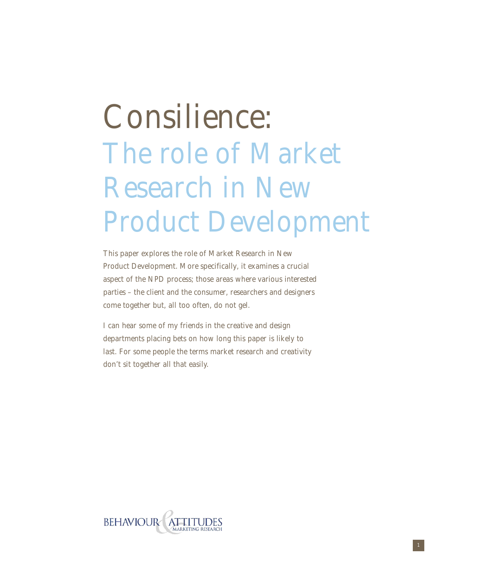# The role of Market Research in New Product Development Consilience:

This paper explores the role of Market Research in New Product Development. More specifically, it examines a crucial aspect of the NPD process; those areas where various interested parties – the client and the consumer, researchers and designers come together but, all too often, do not gel.

I can hear some of my friends in the creative and design departments placing bets on how long this paper is likely to last. For some people the terms market research and creativity don't sit together all that easily.

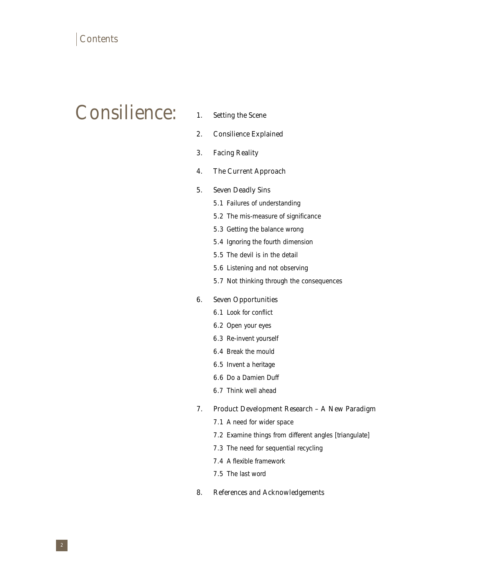# Consilience:

- 1. Setting the Scene
- 2. Consilience Explained
- 3. Facing Reality
- 4. The Current Approach
- 5. Seven Deadly Sins
	- 5.1 Failures of understanding
	- 5.2 The mis-measure of significance
	- 5.3 Getting the balance wrong
	- 5.4 Ignoring the fourth dimension
	- 5.5 The devil is in the detail
	- 5.6 Listening and not observing
	- 5.7 Not thinking through the consequences

#### 6. Seven Opportunities

- 6.1 Look for conflict
- 6.2 Open your eyes
- 6.3 Re-invent yourself
- 6.4 Break the mould
- 6.5 Invent a heritage
- 6.6 Do a Damien Duff
- 6.7 Think well ahead

#### 7. Product Development Research – A New Paradigm

- 7.1 A need for wider space
- 7.2 Examine things from different angles [triangulate]
- 7.3 The need for sequential recycling
- 7.4 A flexible framework
- 7.5 The last word

#### 8. References and Acknowledgements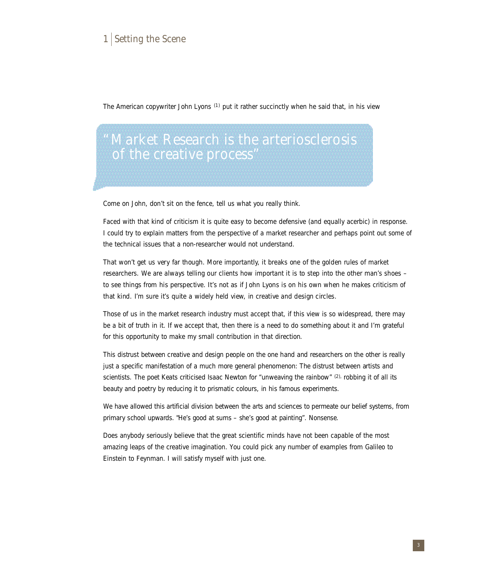# 1 Setting the Scene

The American copywriter John Lyons (1) put it rather succinctly when he said that, in his view

"Market Research is the arteriosclerosis of the creative process"

Come on John, don't sit on the fence, tell us what you really think.

Faced with that kind of criticism it is quite easy to become defensive (and equally acerbic) in response. I could try to explain matters from the perspective of a market researcher and perhaps point out some of the technical issues that a non-researcher would not understand.

That won't get us very far though. More importantly, it breaks one of the golden rules of market researchers. We are always telling our clients how important it is to step into the other man's shoes – to see things from his perspective. It's not as if John Lyons is on his own when he makes criticism of that kind. I'm sure it's quite a widely held view, in creative and design circles.

Those of us in the market research industry must accept that, if this view is so widespread, there may be a bit of truth in it. If we accept that, then there is a need to do something about it and I'm grateful for this opportunity to make my small contribution in that direction.

This distrust between creative and design people on the one hand and researchers on the other is really just a specific manifestation of a much more general phenomenon: The distrust between artists and scientists. The poet Keats criticised Isaac Newton for "unweaving the rainbow" (2) robbing it of all its beauty and poetry by reducing it to prismatic colours, in his famous experiments.

We have allowed this artificial division between the arts and sciences to permeate our belief systems, from primary school upwards. "He's good at sums – she's good at painting". Nonsense.

Does anybody seriously believe that the great scientific minds have not been capable of the most amazing leaps of the creative imagination. You could pick any number of examples from Galileo to Einstein to Feynman. I will satisfy myself with just one.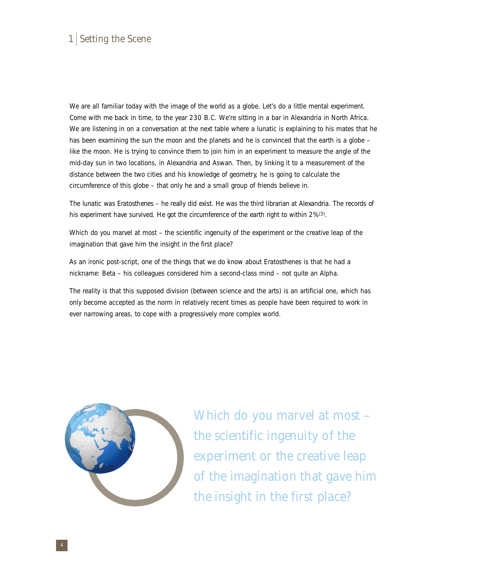# 1 Setting the Scene

We are all familiar today with the image of the world as a globe. Let's do a little mental experiment. Come with me back in time, to the year 230 B.C. We're sitting in a bar in Alexandria in North Africa. We are listening in on a conversation at the next table where a lunatic is explaining to his mates that he has been examining the sun the moon and the planets and he is convinced that the earth is a globe – like the moon. He is trying to convince them to join him in an experiment to measure the angle of the mid-day sun in two locations, in Alexandria and Aswan. Then, by linking it to a measurement of the distance between the two cities and his knowledge of geometry, he is going to calculate the circumference of this globe – that only he and a small group of friends believe in.

The lunatic was Eratosthenes – he really did exist. He was the third librarian at Alexandria. The records of his experiment have survived. He got the circumference of the earth right to within  $2\%/3}$ .

Which do you marvel at most – the scientific ingenuity of the experiment or the creative leap of the imagination that gave him the insight in the first place?

As an ironic post-script, one of the things that we do know about Eratosthenes is that he had a nickname: Beta – his colleagues considered him a second-class mind – not quite an Alpha.

The reality is that this supposed division (between science and the arts) is an artificial one, which has only become accepted as the norm in relatively recent times as people have been required to work in ever narrowing areas, to cope with a progressively more complex world.



Which do you marvel at most – the scientific ingenuity of the experiment or the creative leap of the imagination that gave him the insight in the first place?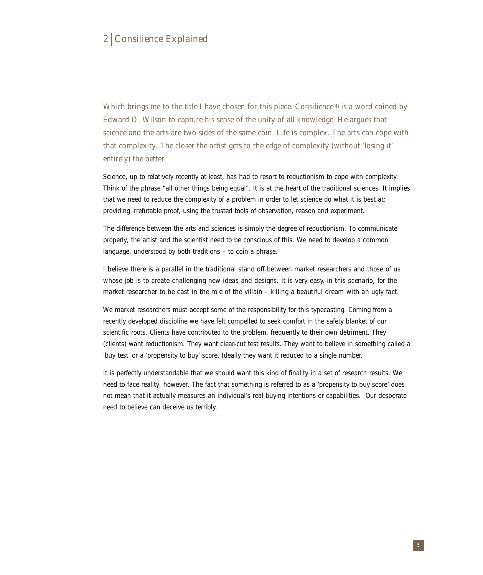# 2 Consilience Explained

Which brings me to the title I have chosen for this piece. Consilience<sup> $(4)$ </sup> is a word coined by Edward O. Wilson to capture his sense of the unity of all knowledge. He argues that science and the arts are two sides of the same coin. Life is complex. The arts can cope with that complexity. The closer the artist gets to the edge of complexity (without 'losing it' entirely) the better.

Science, up to relatively recently at least, has had to resort to reductionism to cope with complexity. Think of the phrase "all other things being equal". It is at the heart of the traditional sciences. It implies that we need to reduce the complexity of a problem in order to let science do what it is best at; providing irrefutable proof, using the trusted tools of observation, reason and experiment.

The difference between the arts and sciences is simply the degree of reductionism. To communicate properly, the artist and the scientist need to be conscious of this. We need to develop a common language, understood by both traditions – to coin a phrase.

I believe there is a parallel in the traditional stand off between market researchers and those of us whose job is to create challenging new ideas and designs. It is very easy, in this scenario, for the market researcher to be cast in the role of the villain – killing a beautiful dream with an ugly fact.

We market researchers must accept some of the responsibility for this typecasting. Coming from a recently developed discipline we have felt compelled to seek comfort in the safety blanket of our scientific roots. Clients have contributed to the problem, frequently to their own detriment. They (clients) want reductionism. They want clear-cut test results. They want to believe in something called a 'buy test' or a 'propensity to buy' score. Ideally they want it reduced to a single number.

It is perfectly understandable that we should want this kind of finality in a set of research results. We need to face reality, however. The fact that something is referred to as a 'propensity to buy score' does not mean that it actually measures an individual's real buying intentions or capabilities. Our desperate need to believe can deceive us terribly.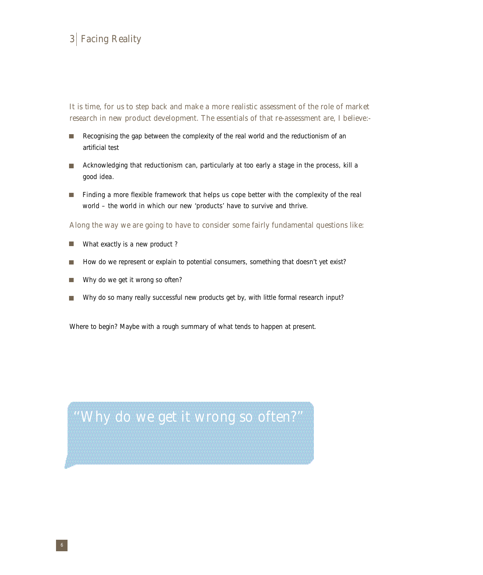# 3 Facing Reality

It is time, for us to step back and make a more realistic assessment of the role of market research in new product development. The essentials of that re-assessment are, I believe:-

- п Recognising the gap between the complexity of the real world and the reductionism of an artificial test
- Acknowledging that reductionism can, particularly at too early a stage in the process, kill a  $\blacksquare$ good idea.
- Finding a more flexible framework that helps us cope better with the complexity of the real  $\blacksquare$ world – the world in which our new 'products' have to survive and thrive.

Along the way we are going to have to consider some fairly fundamental questions like:

- What exactly is a new product ? H
- How do we represent or explain to potential consumers, something that doesn't yet exist?
- Why do we get it wrong so often?
- Why do so many really successful new products get by, with little formal research input? П

Where to begin? Maybe with a rough summary of what tends to happen at present.

''Why do we get it wrong so often?''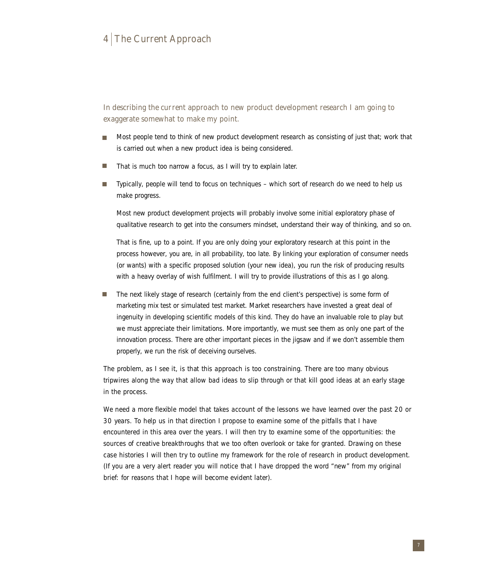# 4 The Current Approach

In describing the current approach to new product development research I am going to exaggerate somewhat to make my point.

- Most people tend to think of new product development research as consisting of just that; work that  $\blacksquare$ is carried out when a new product idea is being considered.
- That is much too narrow a focus, as I will try to explain later.
- Typically, people will tend to focus on techniques which sort of research do we need to help us  $\blacksquare$ make progress.

Most new product development projects will probably involve some initial exploratory phase of qualitative research to get into the consumers mindset, understand their way of thinking, and so on.

That is fine, up to a point. If you are only doing your exploratory research at this point in the process however, you are, in all probability, too late. By linking your exploration of consumer needs (or wants) with a specific proposed solution (your new idea), you run the risk of producing results with a heavy overlay of wish fulfilment. I will try to provide illustrations of this as I go along.

■ The next likely stage of research (certainly from the end client's perspective) is some form of marketing mix test or simulated test market. Market researchers have invested a great deal of ingenuity in developing scientific models of this kind. They do have an invaluable role to play but we must appreciate their limitations. More importantly, we must see them as only one part of the innovation process. There are other important pieces in the jigsaw and if we don't assemble them properly, we run the risk of deceiving ourselves.

The problem, as I see it, is that this approach is too constraining. There are too many obvious tripwires along the way that allow bad ideas to slip through or that kill good ideas at an early stage in the process.

We need a more flexible model that takes account of the lessons we have learned over the past 20 or 30 years. To help us in that direction I propose to examine some of the pitfalls that I have encountered in this area over the years. I will then try to examine some of the opportunities: the sources of creative breakthroughs that we too often overlook or take for granted. Drawing on these case histories I will then try to outline my framework for the role of research in product development. (If you are a very alert reader you will notice that I have dropped the word "new" from my original brief: for reasons that I hope will become evident later).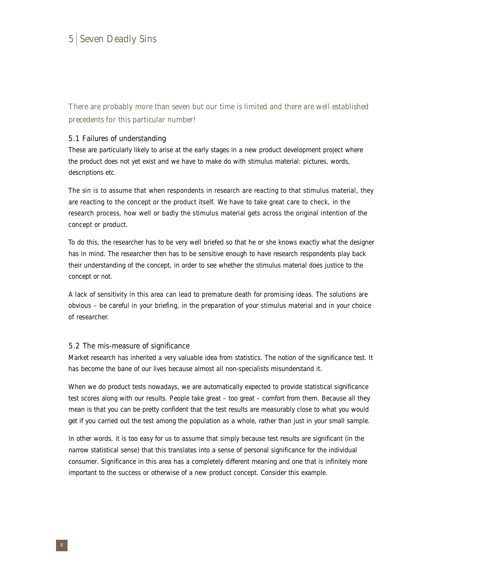There are probably more than seven but our time is limited and there are well established precedents for this particular number!

#### 5.1 Failures of understanding

These are particularly likely to arise at the early stages in a new product development project where the product does not yet exist and we have to make do with stimulus material: pictures, words, descriptions etc.

The sin is to assume that when respondents in research are reacting to that stimulus material, they are reacting to the concept or the product itself. We have to take great care to check, in the research process, how well or badly the stimulus material gets across the original intention of the concept or product.

To do this, the researcher has to be very well briefed so that he or she knows exactly what the designer has in mind. The researcher then has to be sensitive enough to have research respondents play back their understanding of the concept, in order to see whether the stimulus material does justice to the concept or not.

A lack of sensitivity in this area can lead to premature death for promising ideas. The solutions are obvious – be careful in your briefing, in the preparation of your stimulus material and in your choice of researcher.

#### 5.2 The mis-measure of significance

Market research has inherited a very valuable idea from statistics. The notion of the significance test. It has become the bane of our lives because almost all non-specialists misunderstand it.

When we do product tests nowadays, we are automatically expected to provide statistical significance test scores along with our results. People take great – too great – comfort from them. Because all they mean is that you can be pretty confident that the test results are measurably close to what you would get if you carried out the test among the population as a whole, rather than just in your small sample.

In other words, it is too easy for us to assume that simply because test results are significant (in the narrow statistical sense) that this translates into a sense of personal significance for the individual consumer. Significance in this area has a completely different meaning and one that is infinitely more important to the success or otherwise of a new product concept. Consider this example.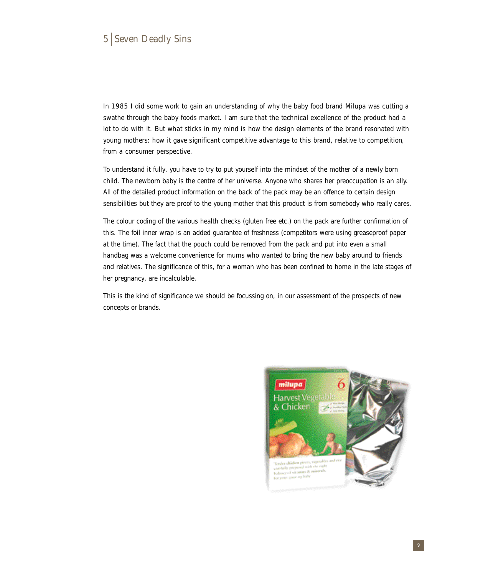In 1985 I did some work to gain an understanding of why the baby food brand Milupa was cutting a swathe through the baby foods market. I am sure that the technical excellence of the product had a lot to do with it. But what sticks in my mind is how the design elements of the brand resonated with young mothers: how it gave significant competitive advantage to this brand, relative to competition, from a consumer perspective.

To understand it fully, you have to try to put yourself into the mindset of the mother of a newly born child. The newborn baby is the centre of her universe. Anyone who shares her preoccupation is an ally. All of the detailed product information on the back of the pack may be an offence to certain design sensibilities but they are proof to the young mother that this product is from somebody who really cares.

The colour coding of the various health checks (gluten free etc.) on the pack are further confirmation of this. The foil inner wrap is an added guarantee of freshness (competitors were using greaseproof paper at the time). The fact that the pouch could be removed from the pack and put into even a small handbag was a welcome convenience for mums who wanted to bring the new baby around to friends and relatives. The significance of this, for a woman who has been confined to home in the late stages of her pregnancy, are incalculable.

This is the kind of significance we should be focussing on, in our assessment of the prospects of new concepts or brands.

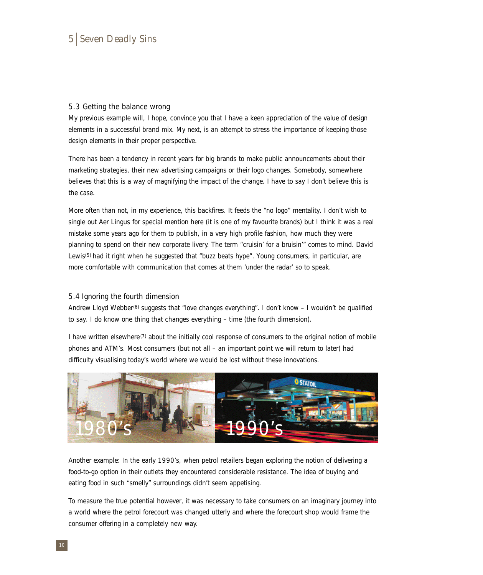#### 5.3 Getting the balance wrong

My previous example will, I hope, convince you that I have a keen appreciation of the value of design elements in a successful brand mix. My next, is an attempt to stress the importance of keeping those design elements in their proper perspective.

There has been a tendency in recent years for big brands to make public announcements about their marketing strategies, their new advertising campaigns or their logo changes. Somebody, somewhere believes that this is a way of magnifying the impact of the change. I have to say I don't believe this is the case.

More often than not, in my experience, this backfires. It feeds the "no logo" mentality. I don't wish to single out Aer Lingus for special mention here (it is one of my favourite brands) but I think it was a real mistake some years ago for them to publish, in a very high profile fashion, how much they were planning to spend on their new corporate livery. The term "cruisin' for a bruisin'" comes to mind. David Lewis(5) had it right when he suggested that "buzz beats hype". Young consumers, in particular, are more comfortable with communication that comes at them 'under the radar' so to speak.

#### 5.4 Ignoring the fourth dimension

Andrew Lloyd Webber<sup>(6)</sup> suggests that "love changes everything". I don't know – I wouldn't be qualified to say. I do know one thing that changes everything – time (the fourth dimension).

I have written elsewhere<sup>( $7$ )</sup> about the initially cool response of consumers to the original notion of mobile phones and ATM's. Most consumers (but not all – an important point we will return to later) had difficulty visualising today's world where we would be lost without these innovations.



Another example: In the early 1990's, when petrol retailers began exploring the notion of delivering a food-to-go option in their outlets they encountered considerable resistance. The idea of buying and eating food in such "smelly" surroundings didn't seem appetising.

To measure the true potential however, it was necessary to take consumers on an imaginary journey into a world where the petrol forecourt was changed utterly and where the forecourt shop would frame the consumer offering in a completely new way.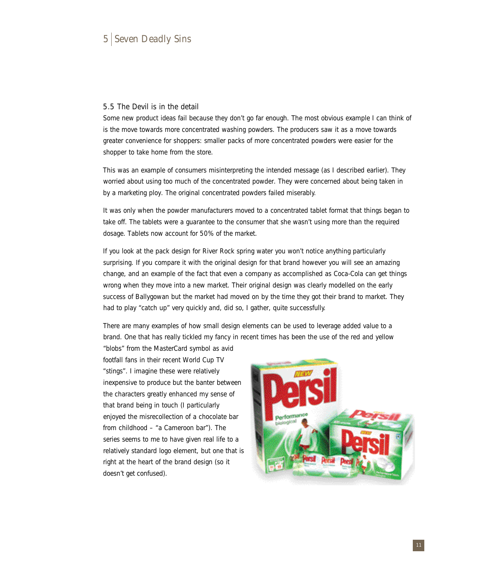#### 5.5 The Devil is in the detail

Some new product ideas fail because they don't go far enough. The most obvious example I can think of is the move towards more concentrated washing powders. The producers saw it as a move towards greater convenience for shoppers: smaller packs of more concentrated powders were easier for the shopper to take home from the store.

This was an example of consumers misinterpreting the intended message (as I described earlier). They worried about using too much of the concentrated powder. They were concerned about being taken in by a marketing ploy. The original concentrated powders failed miserably.

It was only when the powder manufacturers moved to a concentrated tablet format that things began to take off. The tablets were a guarantee to the consumer that she wasn't using more than the required dosage. Tablets now account for 50% of the market.

If you look at the pack design for River Rock spring water you won't notice anything particularly surprising. If you compare it with the original design for that brand however you will see an amazing change, and an example of the fact that even a company as accomplished as Coca-Cola can get things wrong when they move into a new market. Their original design was clearly modelled on the early success of Ballygowan but the market had moved on by the time they got their brand to market. They had to play "catch up" very quickly and, did so, I gather, quite successfully.

There are many examples of how small design elements can be used to leverage added value to a brand. One that has really tickled my fancy in recent times has been the use of the red and yellow "blobs" from the MasterCard symbol as avid

footfall fans in their recent World Cup TV "stings". I imagine these were relatively inexpensive to produce but the banter between the characters greatly enhanced my sense of that brand being in touch (I particularly enjoyed the misrecollection of a chocolate bar from childhood – "a Cameroon bar"). The series seems to me to have given real life to a relatively standard logo element, but one that is right at the heart of the brand design (so it doesn't get confused).

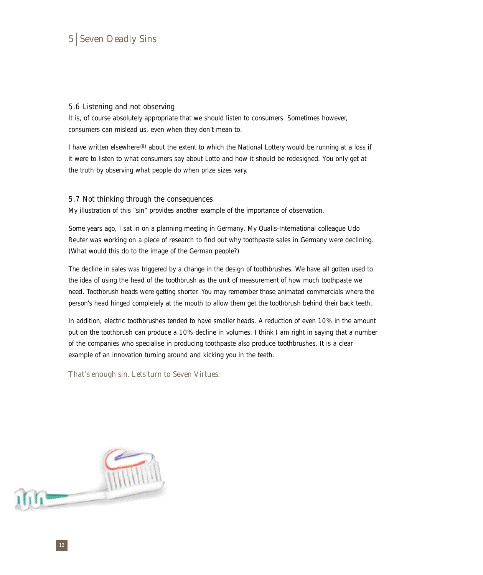#### 5.6 Listening and not observing

It is, of course absolutely appropriate that we should listen to consumers. Sometimes however, consumers can mislead us, even when they don't mean to.

I have written elsewhere<sup>(8)</sup> about the extent to which the National Lottery would be running at a loss if it were to listen to what consumers say about Lotto and how it should be redesigned. You only get at the truth by observing what people do when prize sizes vary.

#### 5.7 Not thinking through the consequences

My illustration of this "sin" provides another example of the importance of observation.

Some years ago, I sat in on a planning meeting in Germany. My Qualis-International colleague Udo Reuter was working on a piece of research to find out why toothpaste sales in Germany were declining. (What would this do to the image of the German people?)

The decline in sales was triggered by a change in the design of toothbrushes. We have all gotten used to the idea of using the head of the toothbrush as the unit of measurement of how much toothpaste we need. Toothbrush heads were getting shorter. You may remember those animated commercials where the person's head hinged completely at the mouth to allow them get the toothbrush behind their back teeth.

In addition, electric toothbrushes tended to have smaller heads. A reduction of even 10% in the amount put on the toothbrush can produce a 10% decline in volumes. I think I am right in saying that a number of the companies who specialise in producing toothpaste also produce toothbrushes. It is a clear example of an innovation turning around and kicking you in the teeth.

That's enough sin. Lets turn to Seven Virtues.

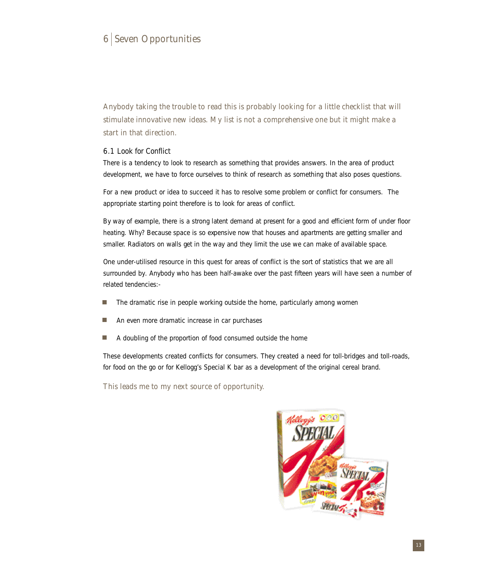Anybody taking the trouble to read this is probably looking for a little checklist that will stimulate innovative new ideas. My list is not a comprehensive one but it might make a start in that direction.

#### 6.1 Look for Conflict

There is a tendency to look to research as something that provides answers. In the area of product development, we have to force ourselves to think of research as something that also poses questions.

For a new product or idea to succeed it has to resolve some problem or conflict for consumers. The appropriate starting point therefore is to look for areas of conflict.

By way of example, there is a strong latent demand at present for a good and efficient form of under floor heating. Why? Because space is so expensive now that houses and apartments are getting smaller and smaller. Radiators on walls get in the way and they limit the use we can make of available space.

One under-utilised resource in this quest for areas of conflict is the sort of statistics that we are all surrounded by. Anybody who has been half-awake over the past fifteen years will have seen a number of related tendencies:-

- The dramatic rise in people working outside the home, particularly among women П
- An even more dramatic increase in car purchases
- П A doubling of the proportion of food consumed outside the home

These developments created conflicts for consumers. They created a need for toll-bridges and toll-roads, for food on the go or for Kellogg's Special K bar as a development of the original cereal brand.

This leads me to my next source of opportunity.

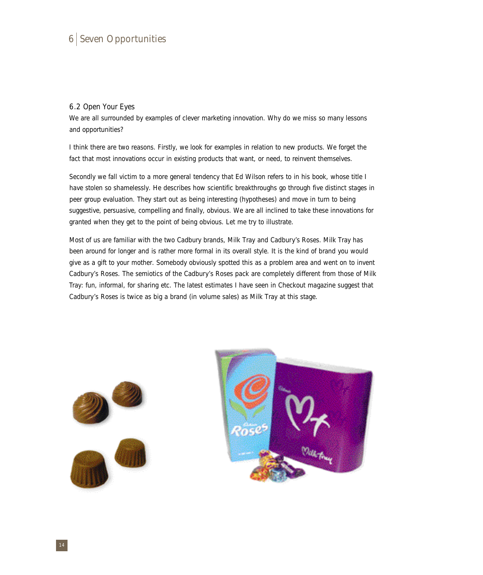#### 6.2 Open Your Eyes

We are all surrounded by examples of clever marketing innovation. Why do we miss so many lessons and opportunities?

I think there are two reasons. Firstly, we look for examples in relation to new products. We forget the fact that most innovations occur in existing products that want, or need, to reinvent themselves.

Secondly we fall victim to a more general tendency that Ed Wilson refers to in his book, whose title I have stolen so shamelessly. He describes how scientific breakthroughs go through five distinct stages in peer group evaluation. They start out as being interesting (hypotheses) and move in turn to being suggestive, persuasive, compelling and finally, obvious. We are all inclined to take these innovations for granted when they get to the point of being obvious. Let me try to illustrate.

Most of us are familiar with the two Cadbury brands, Milk Tray and Cadbury's Roses. Milk Tray has been around for longer and is rather more formal in its overall style. It is the kind of brand you would give as a gift to your mother. Somebody obviously spotted this as a problem area and went on to invent Cadbury's Roses. The semiotics of the Cadbury's Roses pack are completely different from those of Milk Tray: fun, informal, for sharing etc. The latest estimates I have seen in Checkout magazine suggest that Cadbury's Roses is twice as big a brand (in volume sales) as Milk Tray at this stage.



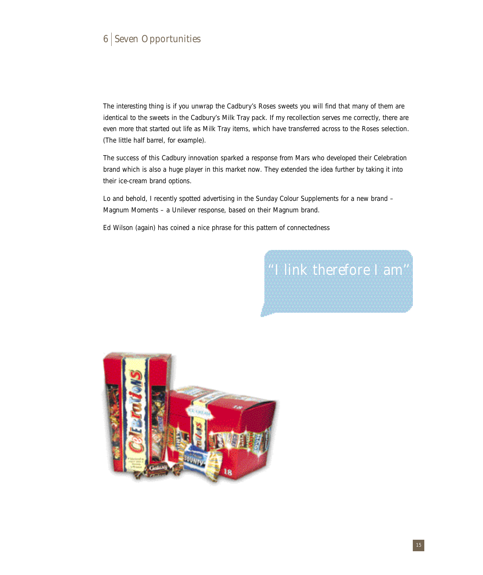The interesting thing is if you unwrap the Cadbury's Roses sweets you will find that many of them are identical to the sweets in the Cadbury's Milk Tray pack. If my recollection serves me correctly, there are even more that started out life as Milk Tray items, which have transferred across to the Roses selection. (The little half barrel, for example).

The success of this Cadbury innovation sparked a response from Mars who developed their Celebration brand which is also a huge player in this market now. They extended the idea further by taking it into their ice-cream brand options.

Lo and behold, I recently spotted advertising in the Sunday Colour Supplements for a new brand – Magnum Moments – a Unilever response, based on their Magnum brand.

Ed Wilson (again) has coined a nice phrase for this pattern of connectedness

# ''I link therefore I am''

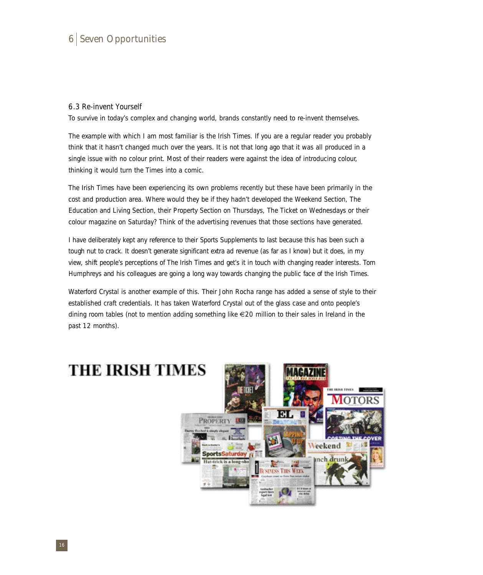#### 6.3 Re-invent Yourself

To survive in today's complex and changing world, brands constantly need to re-invent themselves.

The example with which I am most familiar is the Irish Times. If you are a regular reader you probably think that it hasn't changed much over the years. It is not that long ago that it was all produced in a single issue with no colour print. Most of their readers were against the idea of introducing colour, thinking it would turn the Times into a comic.

The Irish Times have been experiencing its own problems recently but these have been primarily in the cost and production area. Where would they be if they hadn't developed the Weekend Section, The Education and Living Section, their Property Section on Thursdays, The Ticket on Wednesdays or their colour magazine on Saturday? Think of the advertising revenues that those sections have generated.

I have deliberately kept any reference to their Sports Supplements to last because this has been such a tough nut to crack. It doesn't generate significant extra ad revenue (as far as I know) but it does, in my view, shift people's perceptions of The Irish Times and get's it in touch with changing reader interests. Tom Humphreys and his colleagues are going a long way towards changing the public face of the Irish Times.

Waterford Crystal is another example of this. Their John Rocha range has added a sense of style to their established craft credentials. It has taken Waterford Crystal out of the glass case and onto people's dining room tables (not to mention adding something like €20 million to their sales in Ireland in the past 12 months).

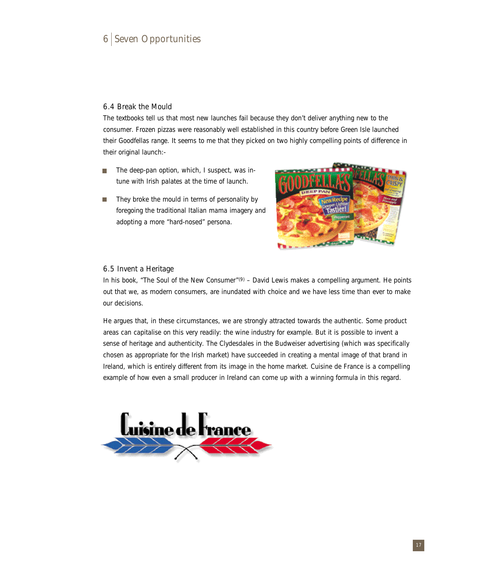#### 6.4 Break the Mould

The textbooks tell us that most new launches fail because they don't deliver anything new to the consumer. Frozen pizzas were reasonably well established in this country before Green Isle launched their Goodfellas range. It seems to me that they picked on two highly compelling points of difference in their original launch:-

- The deep-pan option, which, I suspect, was in- $\blacksquare$ tune with Irish palates at the time of launch.
- They broke the mould in terms of personality by  $\blacksquare$ foregoing the traditional Italian mama imagery and adopting a more "hard-nosed" persona.



#### 6.5 Invent a Heritage

In his book, "The Soul of the New Consumer"<sup>(9)</sup> – David Lewis makes a compelling argument. He points out that we, as modern consumers, are inundated with choice and we have less time than ever to make our decisions.

He argues that, in these circumstances, we are strongly attracted towards the authentic. Some product areas can capitalise on this very readily: the wine industry for example. But it is possible to invent a sense of heritage and authenticity. The Clydesdales in the Budweiser advertising (which was specifically chosen as appropriate for the Irish market) have succeeded in creating a mental image of that brand in Ireland, which is entirely different from its image in the home market. Cuisine de France is a compelling example of how even a small producer in Ireland can come up with a winning formula in this regard.

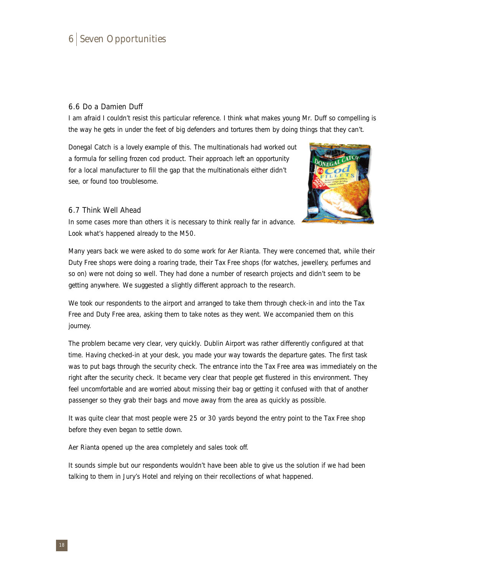#### 6.6 Do a Damien Duff

I am afraid I couldn't resist this particular reference. I think what makes young Mr. Duff so compelling is the way he gets in under the feet of big defenders and tortures them by doing things that they can't.

Donegal Catch is a lovely example of this. The multinationals had worked out a formula for selling frozen cod product. Their approach left an opportunity for a local manufacturer to fill the gap that the multinationals either didn't see, or found too troublesome.



#### 6.7 Think Well Ahead

In some cases more than others it is necessary to think really far in advance. Look what's happened already to the M50.

Many years back we were asked to do some work for Aer Rianta. They were concerned that, while their Duty Free shops were doing a roaring trade, their Tax Free shops (for watches, jewellery, perfumes and so on) were not doing so well. They had done a number of research projects and didn't seem to be getting anywhere. We suggested a slightly different approach to the research.

We took our respondents to the airport and arranged to take them through check-in and into the Tax Free and Duty Free area, asking them to take notes as they went. We accompanied them on this journey.

The problem became very clear, very quickly. Dublin Airport was rather differently configured at that time. Having checked-in at your desk, you made your way towards the departure gates. The first task was to put bags through the security check. The entrance into the Tax Free area was immediately on the right after the security check. It became very clear that people get flustered in this environment. They feel uncomfortable and are worried about missing their bag or getting it confused with that of another passenger so they grab their bags and move away from the area as quickly as possible.

It was quite clear that most people were 25 or 30 yards beyond the entry point to the Tax Free shop before they even began to settle down.

Aer Rianta opened up the area completely and sales took off.

It sounds simple but our respondents wouldn't have been able to give us the solution if we had been talking to them in Jury's Hotel and relying on their recollections of what happened.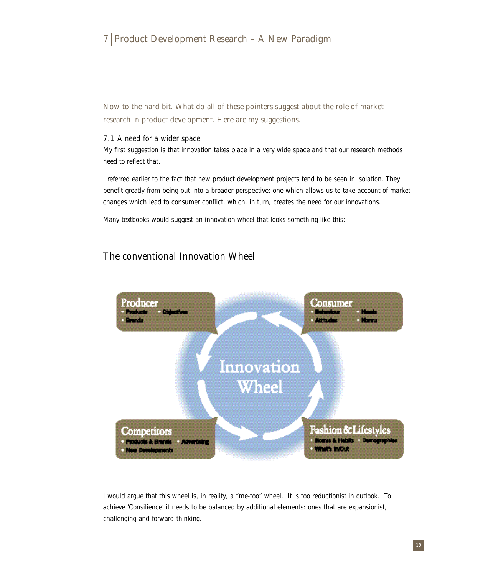# 7 Product Development Research – A New Paradigm

Now to the hard bit. What do all of these pointers suggest about the role of market research in product development. Here are my suggestions.

#### 7.1 A need for a wider space

My first suggestion is that innovation takes place in a very wide space and that our research methods need to reflect that.

I referred earlier to the fact that new product development projects tend to be seen in isolation. They benefit greatly from being put into a broader perspective: one which allows us to take account of market changes which lead to consumer conflict, which, in turn, creates the need for our innovations.

Many textbooks would suggest an innovation wheel that looks something like this:

### The conventional Innovation Wheel



I would argue that this wheel is, in reality, a "me-too" wheel. It is too reductionist in outlook. To achieve 'Consilience' it needs to be balanced by additional elements: ones that are expansionist, challenging and forward thinking.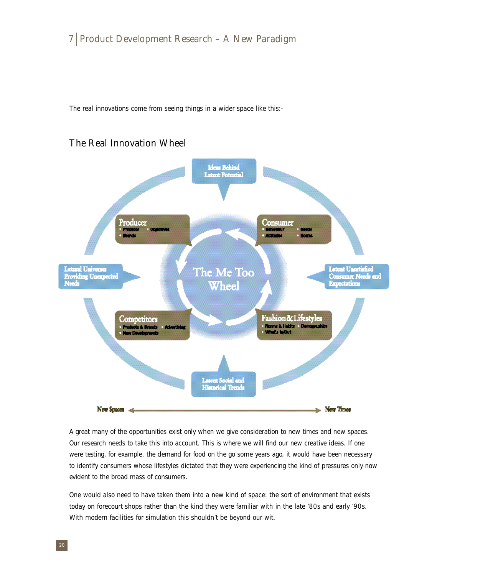The real innovations come from seeing things in a wider space like this:-

# The Real Innovation Wheel



A great many of the opportunities exist only when we give consideration to new times and new spaces. Our research needs to take this into account. This is where we will find our new creative ideas. If one were testing, for example, the demand for food on the go some years ago, it would have been necessary to identify consumers whose lifestyles dictated that they were experiencing the kind of pressures only now evident to the broad mass of consumers.

One would also need to have taken them into a new kind of space: the sort of environment that exists today on forecourt shops rather than the kind they were familiar with in the late '80s and early '90s. With modern facilities for simulation this shouldn't be beyond our wit.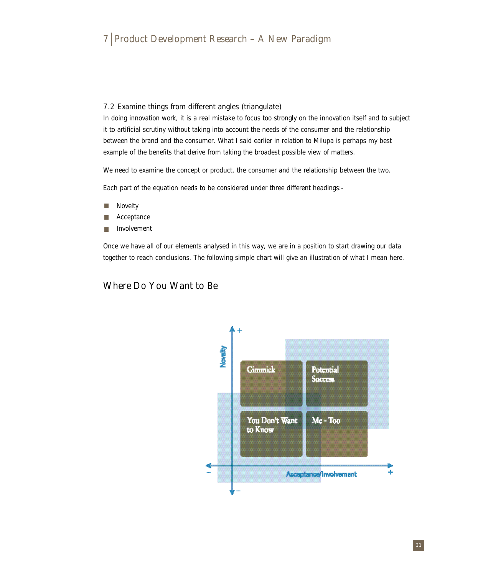#### 7.2 Examine things from different angles (triangulate)

In doing innovation work, it is a real mistake to focus too strongly on the innovation itself and to subject it to artificial scrutiny without taking into account the needs of the consumer and the relationship between the brand and the consumer. What I said earlier in relation to Milupa is perhaps my best example of the benefits that derive from taking the broadest possible view of matters.

We need to examine the concept or product, the consumer and the relationship between the two.

Each part of the equation needs to be considered under three different headings:-

- П Novelty
- Acceptance П
- Involvement п

Once we have all of our elements analysed in this way, we are in a position to start drawing our data together to reach conclusions. The following simple chart will give an illustration of what I mean here.

### Where Do You Want to Be

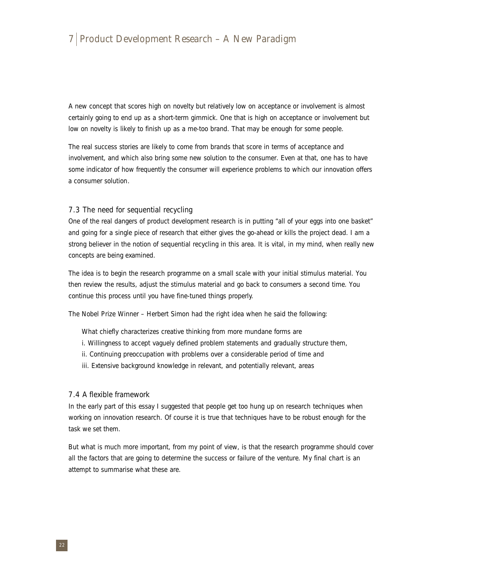# 7 Product Development Research – A New Paradigm

A new concept that scores high on novelty but relatively low on acceptance or involvement is almost certainly going to end up as a short-term gimmick. One that is high on acceptance or involvement but low on novelty is likely to finish up as a me-too brand. That may be enough for some people.

The real success stories are likely to come from brands that score in terms of acceptance and involvement, and which also bring some new solution to the consumer. Even at that, one has to have some indicator of how frequently the consumer will experience problems to which our innovation offers a consumer solution.

#### 7.3 The need for sequential recycling

One of the real dangers of product development research is in putting "all of your eggs into one basket" and going for a single piece of research that either gives the go-ahead or kills the project dead. I am a strong believer in the notion of sequential recycling in this area. It is vital, in my mind, when really new concepts are being examined.

The idea is to begin the research programme on a small scale with your initial stimulus material. You then review the results, adjust the stimulus material and go back to consumers a second time. You continue this process until you have fine-tuned things properly.

The Nobel Prize Winner – Herbert Simon had the right idea when he said the following:

What chiefly characterizes creative thinking from more mundane forms are

- i. Willingness to accept vaguely defined problem statements and gradually structure them,
- ii. Continuing preoccupation with problems over a considerable period of time and
- iii. Extensive background knowledge in relevant, and potentially relevant, areas

#### 7.4 A flexible framework

In the early part of this essay I suggested that people get too hung up on research techniques when working on innovation research. Of course it is true that techniques have to be robust enough for the task we set them.

But what is much more important, from my point of view, is that the research programme should cover all the factors that are going to determine the success or failure of the venture. My final chart is an attempt to summarise what these are.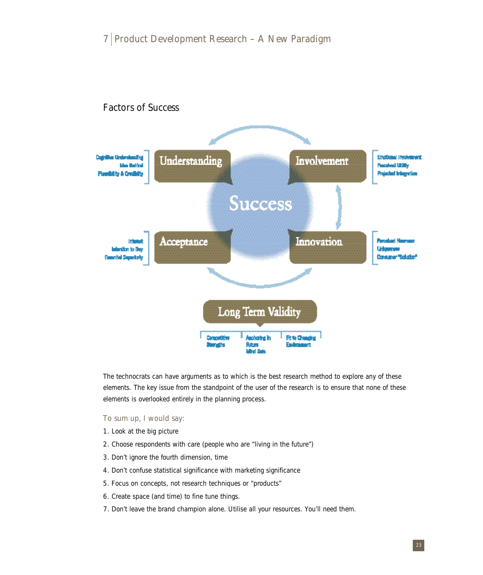

The technocrats can have arguments as to which is the best research method to explore any of these elements. The key issue from the standpoint of the user of the research is to ensure that none of these elements is overlooked entirely in the planning process.

To sum up, I would say:

- 1. Look at the big picture
- 2. Choose respondents with care (people who are "living in the future")
- 3. Don't ignore the fourth dimension, time
- 4. Don't confuse statistical significance with marketing significance
- 5. Focus on concepts, not research techniques or "products"
- 6. Create space (and time) to fine tune things.
- 7. Don't leave the brand champion alone. Utilise all your resources. You'll need them.